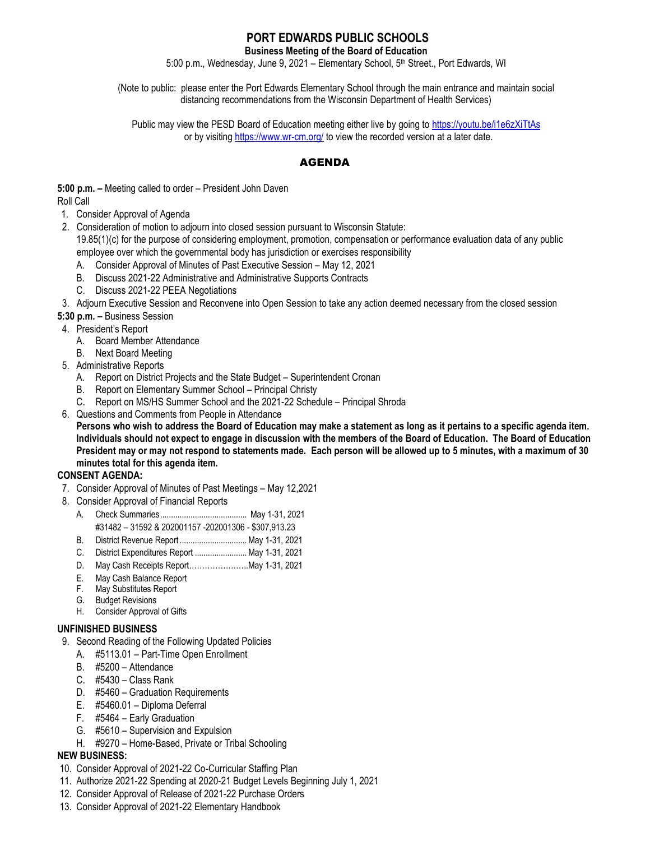# **PORT EDWARDS PUBLIC SCHOOLS**

**Business Meeting of the Board of Education**

5:00 p.m., Wednesday, June 9, 2021 - Elementary School, 5<sup>th</sup> Street., Port Edwards, WI

(Note to public: please enter the Port Edwards Elementary School through the main entrance and maintain social distancing recommendations from the Wisconsin Department of Health Services)

Public may view the PESD Board of Education meeting either live by going to <https://youtu.be/i1e6zXiTtAs> or by visitin[g https://www.wr-cm.org/](https://www.wr-cm.org/) to view the recorded version at a later date.

## AGENDA

**5:00 p.m. –** Meeting called to order – President John Daven Roll Call

- 1. Consider Approval of Agenda
- 2. Consideration of motion to adjourn into closed session pursuant to Wisconsin Statute:

19.85(1)(c) for the purpose of considering employment, promotion, compensation or performance evaluation data of any public employee over which the governmental body has jurisdiction or exercises responsibility

- A. Consider Approval of Minutes of Past Executive Session May 12, 2021
- B. Discuss 2021-22 Administrative and Administrative Supports Contracts
- C. Discuss 2021-22 PEEA Negotiations

3. Adjourn Executive Session and Reconvene into Open Session to take any action deemed necessary from the closed session

- **5:30 p.m. –** Business Session
- 4. President's Report
	- A. Board Member Attendance
	- B. Next Board Meeting
- 5. Administrative Reports
	- A. Report on District Projects and the State Budget Superintendent Cronan
	- B. Report on Elementary Summer School Principal Christy
	- C. Report on MS/HS Summer School and the 2021-22 Schedule Principal Shroda
- 6. Questions and Comments from People in Attendance

**Persons who wish to address the Board of Education may make a statement as long as it pertains to a specific agenda item. Individuals should not expect to engage in discussion with the members of the Board of Education. The Board of Education President may or may not respond to statements made. Each person will be allowed up to 5 minutes, with a maximum of 30 minutes total for this agenda item.**

## **CONSENT AGENDA:**

- 7. Consider Approval of Minutes of Past Meetings May 12,2021
- 8. Consider Approval of Financial Reports
	- A. Check Summaries........................................ May 1-31, 2021
	- #31482 31592 & 202001157 -202001306 \$307,913.23
	- B. District Revenue Report ...............................May 1-31, 2021
	- C. District Expenditures Report ........................May 1-31, 2021
	- D. May Cash Receipts Report…………………..May 1-31, 2021
	- E. May Cash Balance Report
	- F. May Substitutes Report
	- G. Budget Revisions
	- H. Consider Approval of Gifts

### **UNFINISHED BUSINESS**

- 9. Second Reading of the Following Updated Policies
	- A. #5113.01 Part-Time Open Enrollment
	- B. #5200 Attendance
	- C. #5430 Class Rank
	- D. #5460 Graduation Requirements
	- E. #5460.01 Diploma Deferral
	- F. #5464 Early Graduation
	- G. #5610 Supervision and Expulsion
	- H. #9270 Home-Based, Private or Tribal Schooling

### **NEW BUSINESS:**

- 10. Consider Approval of 2021-22 Co-Curricular Staffing Plan
- 11. Authorize 2021-22 Spending at 2020-21 Budget Levels Beginning July 1, 2021
- 12. Consider Approval of Release of 2021-22 Purchase Orders
- 13. Consider Approval of 2021-22 Elementary Handbook